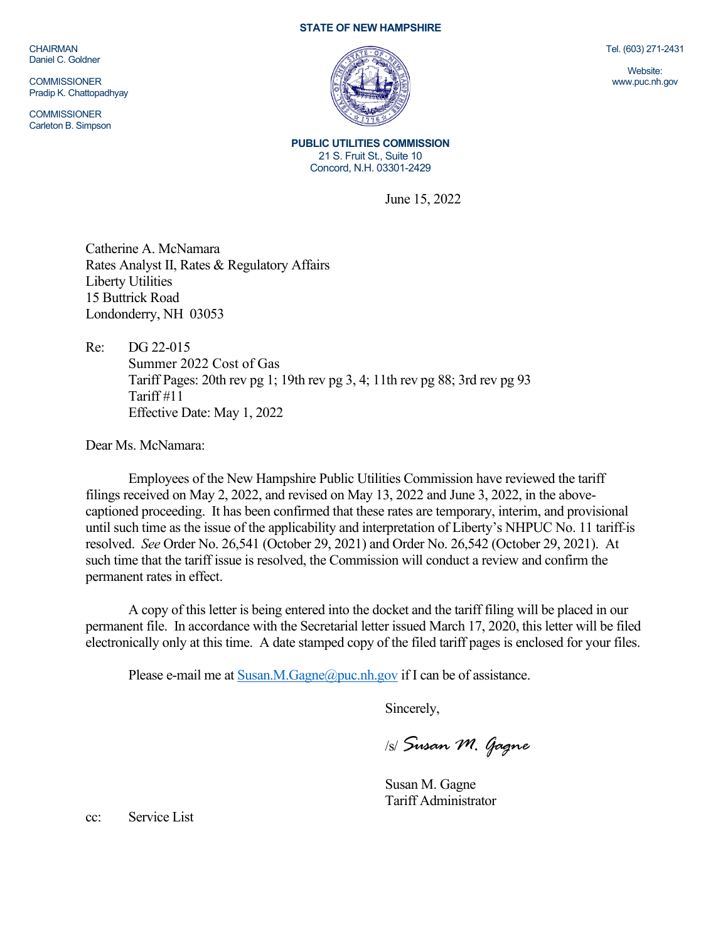CHAIRMAN Daniel C. Goldner

**COMMISSIONER** Pradip K. Chattopadhyay

**COMMISSIONER** Carleton B. Simpson

## **STATE OF NEW HAMPSHIRE**



**PUBLIC UTILITIES COMMISSION** 21 S. Fruit St., Suite 10 Concord, N.H. 03301-2429

June 15, 2022

Catherine A. McNamara Rates Analyst II, Rates & Regulatory Affairs Liberty Utilities 15 Buttrick Road Londonderry, NH 03053

Re: DG 22-015 Summer 2022 Cost of Gas Tariff Pages: 20th rev pg 1; 19th rev pg 3, 4; 11th rev pg 88; 3rd rev pg 93 Tariff #11 Effective Date: May 1, 2022

Dear Ms. McNamara:

Employees of the New Hampshire Public Utilities Commission have reviewed the tariff filings received on May 2, 2022, and revised on May 13, 2022 and June 3, 2022, in the abovecaptioned proceeding. It has been confirmed that these rates are temporary, interim, and provisional until such time as the issue of the applicability and interpretation of Liberty's NHPUC No. 11 tariff is resolved. *See* Order No. 26,541 (October 29, 2021) and Order No. 26,542 (October 29, 2021). At such time that the tariff issue is resolved, the Commission will conduct a review and confirm the permanent rates in effect.

A copy of this letter is being entered into the docket and the tariff filing will be placed in our permanent file. In accordance with the Secretarial letter issued March 17, 2020, this letter will be filed electronically only at this time. A date stamped copy of the filed tariff pages is enclosed for your files.

Please e-mail me a[t Susan.M.Gagne@puc.nh.gov](mailto:Susan.M.Gagne@puc.nh.gov) if I can be of assistance.

Sincerely,

/s/ *Susan M. Gagne*

Susan M. Gagne Tariff Administrator

cc: Service List

Tel. (603) 271-2431

Website: www.puc.nh.gov